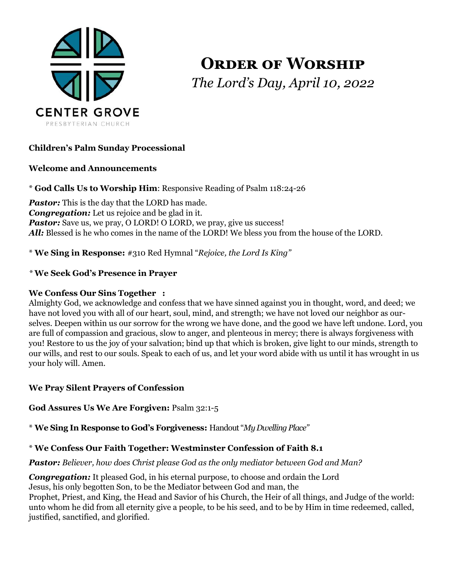

**Order of Worship** *The Lord's Day, April 10, 2022*

## **Children's Palm Sunday Processional**

#### **Welcome and Announcements**

\* **God Calls Us to Worship Him**: Responsive Reading of Psalm 118:24-26

*Pastor:* This is the day that the LORD has made. *Congregation:* Let us rejoice and be glad in it. **Pastor:** Save us, we pray, O LORD! O LORD, we pray, give us success! *All:* Blessed is he who comes in the name of the LORD! We bless you from the house of the LORD.

\* **We Sing in Response:** #310 Red Hymnal "*Rejoice, the Lord Is King"*

## *\** **We Seek God's Presence in Prayer**

### **We Confess Our Sins Together :**

Almighty God, we acknowledge and confess that we have sinned against you in thought, word, and deed; we have not loved you with all of our heart, soul, mind, and strength; we have not loved our neighbor as ourselves. Deepen within us our sorrow for the wrong we have done, and the good we have left undone. Lord, you are full of compassion and gracious, slow to anger, and plenteous in mercy; there is always forgiveness with you! Restore to us the joy of your salvation; bind up that which is broken, give light to our minds, strength to our wills, and rest to our souls. Speak to each of us, and let your word abide with us until it has wrought in us your holy will. Amen.

### **We Pray Silent Prayers of Confession**

**God Assures Us We Are Forgiven:** Psalm 32:1-5

\* **We Sing In Response to God's Forgiveness:** Handout "*My Dwelling Place"*

### \* **We Confess Our Faith Together: Westminster Confession of Faith 8.1**

*Pastor: Believer, how does Christ please God as the only mediator between God and Man?*

*Congregation:* It pleased God, in his eternal purpose, to choose and ordain the Lord Jesus, his only begotten Son, to be the Mediator between God and man, the Prophet, Priest, and King, the Head and Savior of his Church, the Heir of all things, and Judge of the world: unto whom he did from all eternity give a people, to be his seed, and to be by Him in time redeemed, called, justified, sanctified, and glorified.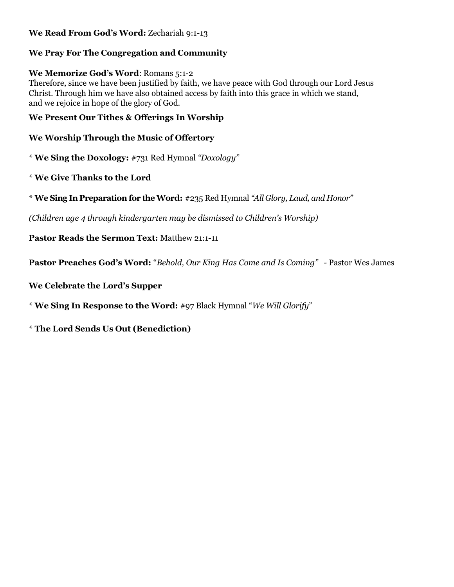## **We Read From God's Word:** Zechariah 9:1-13

## **We Pray For The Congregation and Community**

## **We Memorize God's Word**: Romans 5:1-2

Therefore, since we have been justified by faith, we have peace with God through our Lord Jesus Christ. Through him we have also obtained access by faith into this grace in which we stand, and we rejoice in hope of the glory of God.

## **We Present Our Tithes & Offerings In Worship**

# **We Worship Through the Music of Offertory**

\* **We Sing the Doxology:** #731 Red Hymnal *"Doxology"*

- \* **We Give Thanks to the Lord**
- \* **We Sing In Preparation for the Word:** #235 Red Hymnal *"All Glory, Laud, and Honor"*

*(Children age 4 through kindergarten may be dismissed to Children's Worship)*

**Pastor Reads the Sermon Text:** Matthew 21:1-11

**Pastor Preaches God's Word:** "*Behold, Our King Has Come and Is Coming" -* Pastor Wes James

**We Celebrate the Lord's Supper** 

\* **We Sing In Response to the Word:** #97 Black Hymnal "*We Will Glorify*"

\* **The Lord Sends Us Out (Benediction)**